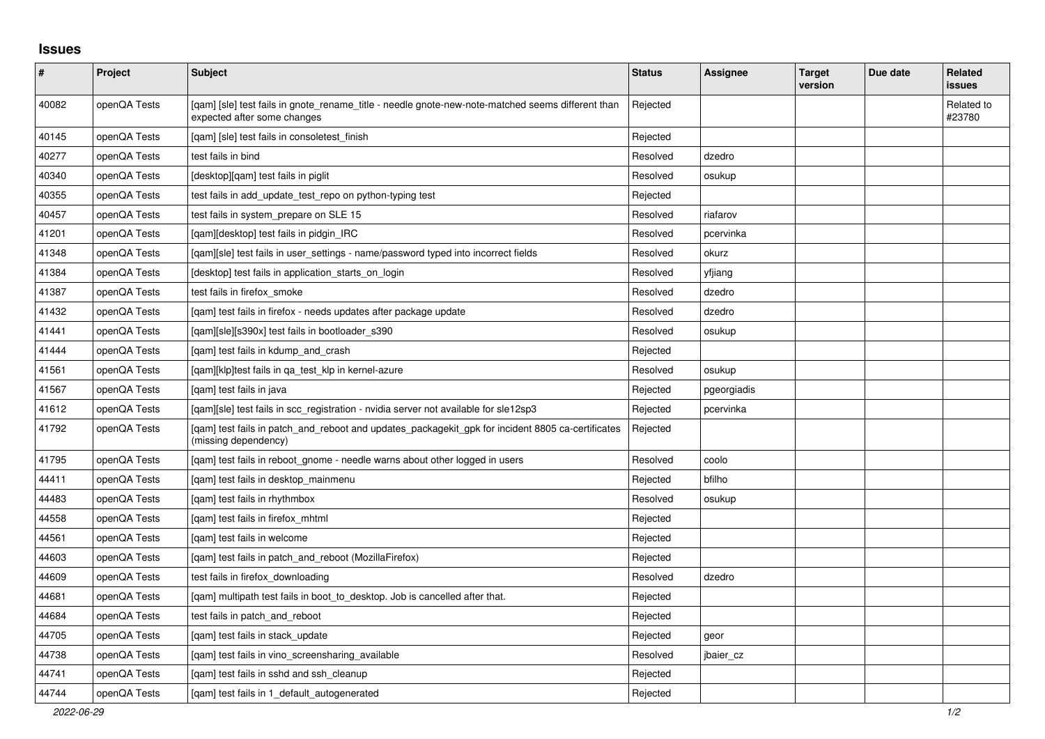## **Issues**

| $\vert$ # | Project      | <b>Subject</b>                                                                                                                   | <b>Status</b> | Assignee    | <b>Target</b><br>version | Due date | Related<br><b>issues</b> |
|-----------|--------------|----------------------------------------------------------------------------------------------------------------------------------|---------------|-------------|--------------------------|----------|--------------------------|
| 40082     | openQA Tests | [gam] [sle] test fails in gnote rename title - needle gnote-new-note-matched seems different than<br>expected after some changes | Rejected      |             |                          |          | Related to<br>#23780     |
| 40145     | openQA Tests | [qam] [sle] test fails in consoletest_finish                                                                                     | Rejected      |             |                          |          |                          |
| 40277     | openQA Tests | test fails in bind                                                                                                               | Resolved      | dzedro      |                          |          |                          |
| 40340     | openQA Tests | [desktop][qam] test fails in piglit                                                                                              | Resolved      | osukup      |                          |          |                          |
| 40355     | openQA Tests | test fails in add_update_test_repo on python-typing test                                                                         | Rejected      |             |                          |          |                          |
| 40457     | openQA Tests | test fails in system_prepare on SLE 15                                                                                           | Resolved      | riafarov    |                          |          |                          |
| 41201     | openQA Tests | [qam][desktop] test fails in pidgin_IRC                                                                                          | Resolved      | pcervinka   |                          |          |                          |
| 41348     | openQA Tests | [gam][sle] test fails in user settings - name/password typed into incorrect fields                                               | Resolved      | okurz       |                          |          |                          |
| 41384     | openQA Tests | [desktop] test fails in application starts on login                                                                              | Resolved      | yfjiang     |                          |          |                          |
| 41387     | openQA Tests | test fails in firefox_smoke                                                                                                      | Resolved      | dzedro      |                          |          |                          |
| 41432     | openQA Tests | [gam] test fails in firefox - needs updates after package update                                                                 | Resolved      | dzedro      |                          |          |                          |
| 41441     | openQA Tests | [qam][sle][s390x] test fails in bootloader_s390                                                                                  | Resolved      | osukup      |                          |          |                          |
| 41444     | openQA Tests | [qam] test fails in kdump_and_crash                                                                                              | Rejected      |             |                          |          |                          |
| 41561     | openQA Tests | [gam][klp]test fails in ga test klp in kernel-azure                                                                              | Resolved      | osukup      |                          |          |                          |
| 41567     | openQA Tests | [qam] test fails in java                                                                                                         | Rejected      | pgeorgiadis |                          |          |                          |
| 41612     | openQA Tests | [gam][sle] test fails in scc registration - nvidia server not available for sle12sp3                                             | Rejected      | pcervinka   |                          |          |                          |
| 41792     | openQA Tests | [gam] test fails in patch_and_reboot and updates_packagekit_gpk for incident 8805 ca-certificates<br>(missing dependency)        | Rejected      |             |                          |          |                          |
| 41795     | openQA Tests | [qam] test fails in reboot_gnome - needle warns about other logged in users                                                      | Resolved      | coolo       |                          |          |                          |
| 44411     | openQA Tests | [qam] test fails in desktop_mainmenu                                                                                             | Rejected      | bfilho      |                          |          |                          |
| 44483     | openQA Tests | [gam] test fails in rhythmbox                                                                                                    | Resolved      | osukup      |                          |          |                          |
| 44558     | openQA Tests | [gam] test fails in firefox mhtml                                                                                                | Rejected      |             |                          |          |                          |
| 44561     | openQA Tests | [gam] test fails in welcome                                                                                                      | Rejected      |             |                          |          |                          |
| 44603     | openQA Tests | [qam] test fails in patch_and_reboot (MozillaFirefox)                                                                            | Rejected      |             |                          |          |                          |
| 44609     | openQA Tests | test fails in firefox downloading                                                                                                | Resolved      | dzedro      |                          |          |                          |
| 44681     | openQA Tests | [qam] multipath test fails in boot_to_desktop. Job is cancelled after that.                                                      | Rejected      |             |                          |          |                          |
| 44684     | openQA Tests | test fails in patch and reboot                                                                                                   | Rejected      |             |                          |          |                          |
| 44705     | openQA Tests | [qam] test fails in stack_update                                                                                                 | Rejected      | geor        |                          |          |                          |
| 44738     | openQA Tests | [qam] test fails in vino_screensharing_available                                                                                 | Resolved      | jbaier_cz   |                          |          |                          |
| 44741     | openQA Tests | [gam] test fails in sshd and ssh cleanup                                                                                         | Rejected      |             |                          |          |                          |
| 44744     | openQA Tests | [gam] test fails in 1 default autogenerated                                                                                      | Rejected      |             |                          |          |                          |